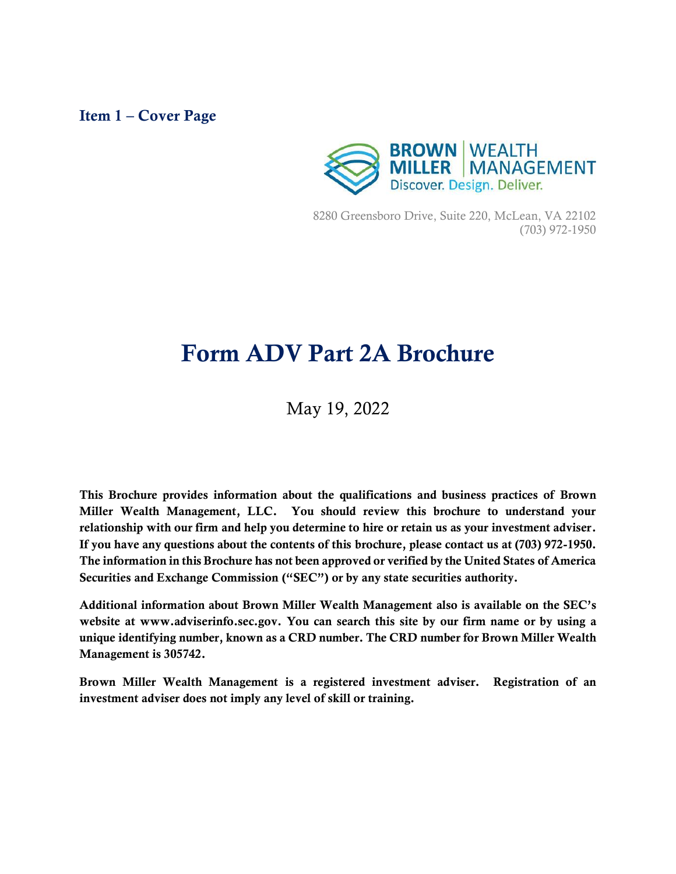#### <span id="page-0-0"></span>Item 1 – Cover Page



8280 Greensboro Drive, Suite 220, McLean, VA 22102 (703) 972-1950

# Form ADV Part 2A Brochure

May 19, 2022

This Brochure provides information about the qualifications and business practices of Brown Miller Wealth Management, LLC. You should review this brochure to understand your relationship with our firm and help you determine to hire or retain us as your investment adviser. If you have any questions about the contents of this brochure, please contact us at (703) 972-1950. The information in this Brochure has not been approved or verified by the United States of America Securities and Exchange Commission ("SEC") or by any state securities authority.

Additional information about Brown Miller Wealth Management also is available on the SEC's website at www.adviserinfo.sec.gov. You can search this site by our firm name or by using a unique identifying number, known as a CRD number. The CRD number for Brown Miller Wealth Management is 305742.

Brown Miller Wealth Management is a registered investment adviser. Registration of an investment adviser does not imply any level of skill or training.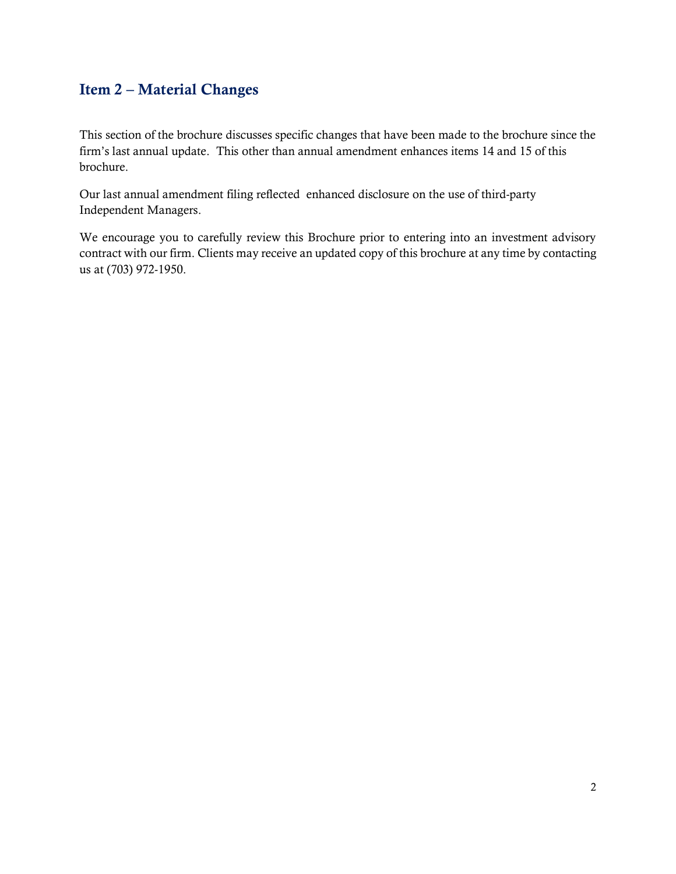### <span id="page-1-0"></span>Item 2 – Material Changes

This section of the brochure discusses specific changes that have been made to the brochure since the firm's last annual update. This other than annual amendment enhances items 14 and 15 of this brochure.

Our last annual amendment filing reflected enhanced disclosure on the use of third-party Independent Managers.

We encourage you to carefully review this Brochure prior to entering into an investment advisory contract with our firm. Clients may receive an updated copy of this brochure at any time by contacting us at (703) 972-1950.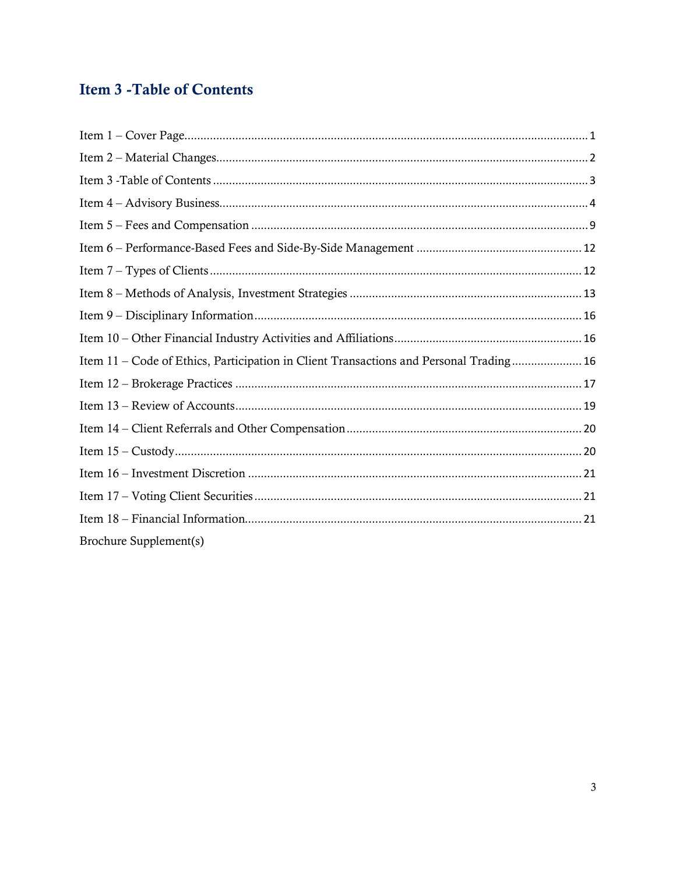## <span id="page-2-0"></span>**Item 3 - Table of Contents**

| Item 11 – Code of Ethics, Participation in Client Transactions and Personal Trading 16 |
|----------------------------------------------------------------------------------------|
|                                                                                        |
|                                                                                        |
|                                                                                        |
|                                                                                        |
|                                                                                        |
|                                                                                        |
|                                                                                        |
| Brochure Supplement(s)                                                                 |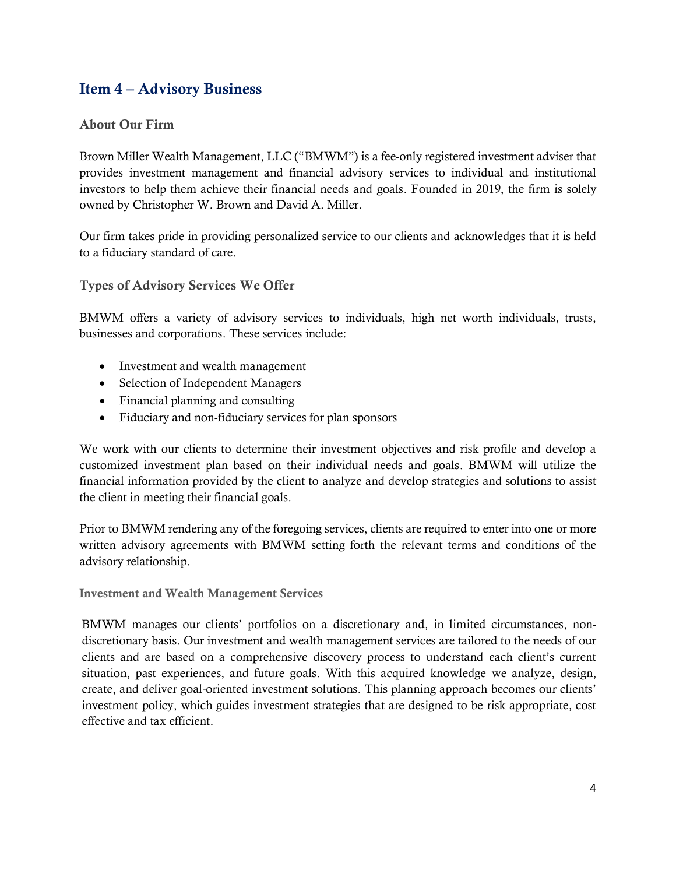### <span id="page-3-0"></span>Item 4 – Advisory Business

#### About Our Firm

Brown Miller Wealth Management, LLC ("BMWM") is a fee-only registered investment adviser that provides investment management and financial advisory services to individual and institutional investors to help them achieve their financial needs and goals. Founded in 2019, the firm is solely owned by Christopher W. Brown and David A. Miller.

Our firm takes pride in providing personalized service to our clients and acknowledges that it is held to a fiduciary standard of care.

Types of Advisory Services We Offer

BMWM offers a variety of advisory services to individuals, high net worth individuals, trusts, businesses and corporations. These services include:

- Investment and wealth management
- Selection of Independent Managers
- Financial planning and consulting
- Fiduciary and non-fiduciary services for plan sponsors

We work with our clients to determine their investment objectives and risk profile and develop a customized investment plan based on their individual needs and goals. BMWM will utilize the financial information provided by the client to analyze and develop strategies and solutions to assist the client in meeting their financial goals.

Prior to BMWM rendering any of the foregoing services, clients are required to enter into one or more written advisory agreements with BMWM setting forth the relevant terms and conditions of the advisory relationship.

Investment and Wealth Management Services

BMWM manages our clients' portfolios on a discretionary and, in limited circumstances, nondiscretionary basis. Our investment and wealth management services are tailored to the needs of our clients and are based on a comprehensive discovery process to understand each client's current situation, past experiences, and future goals. With this acquired knowledge we analyze, design, create, and deliver goal-oriented investment solutions. This planning approach becomes our clients' investment policy, which guides investment strategies that are designed to be risk appropriate, cost effective and tax efficient.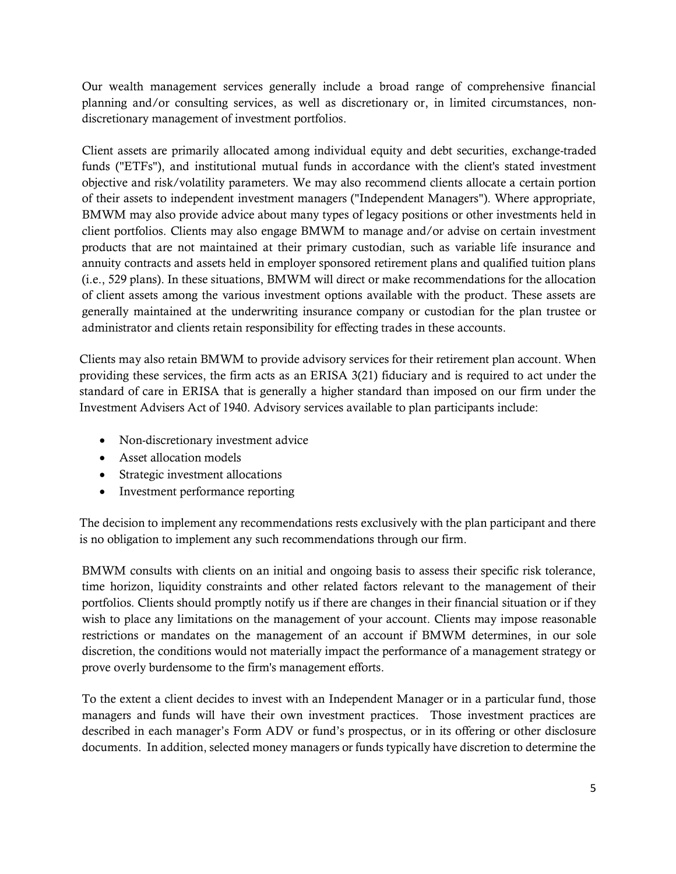Our wealth management services generally include a broad range of comprehensive financial planning and/or consulting services, as well as discretionary or, in limited circumstances, nondiscretionary management of investment portfolios.

Client assets are primarily allocated among individual equity and debt securities, exchange-traded funds ("ETFs"), and institutional mutual funds in accordance with the client's stated investment objective and risk/volatility parameters. We may also recommend clients allocate a certain portion of their assets to independent investment managers ("Independent Managers"). Where appropriate, BMWM may also provide advice about many types of legacy positions or other investments held in client portfolios. Clients may also engage BMWM to manage and/or advise on certain investment products that are not maintained at their primary custodian, such as variable life insurance and annuity contracts and assets held in employer sponsored retirement plans and qualified tuition plans (i.e., 529 plans). In these situations, BMWM will direct or make recommendations for the allocation of client assets among the various investment options available with the product. These assets are generally maintained at the underwriting insurance company or custodian for the plan trustee or administrator and clients retain responsibility for effecting trades in these accounts.

Clients may also retain BMWM to provide advisory services for their retirement plan account. When providing these services, the firm acts as an ERISA 3(21) fiduciary and is required to act under the standard of care in ERISA that is generally a higher standard than imposed on our firm under the Investment Advisers Act of 1940. Advisory services available to plan participants include:

- Non-discretionary investment advice
- Asset allocation models
- Strategic investment allocations
- Investment performance reporting

The decision to implement any recommendations rests exclusively with the plan participant and there is no obligation to implement any such recommendations through our firm.

BMWM consults with clients on an initial and ongoing basis to assess their specific risk tolerance, time horizon, liquidity constraints and other related factors relevant to the management of their portfolios. Clients should promptly notify us if there are changes in their financial situation or if they wish to place any limitations on the management of your account. Clients may impose reasonable restrictions or mandates on the management of an account if BMWM determines, in our sole discretion, the conditions would not materially impact the performance of a management strategy or prove overly burdensome to the firm's management efforts.

To the extent a client decides to invest with an Independent Manager or in a particular fund, those managers and funds will have their own investment practices. Those investment practices are described in each manager's Form ADV or fund's prospectus, or in its offering or other disclosure documents. In addition, selected money managers or funds typically have discretion to determine the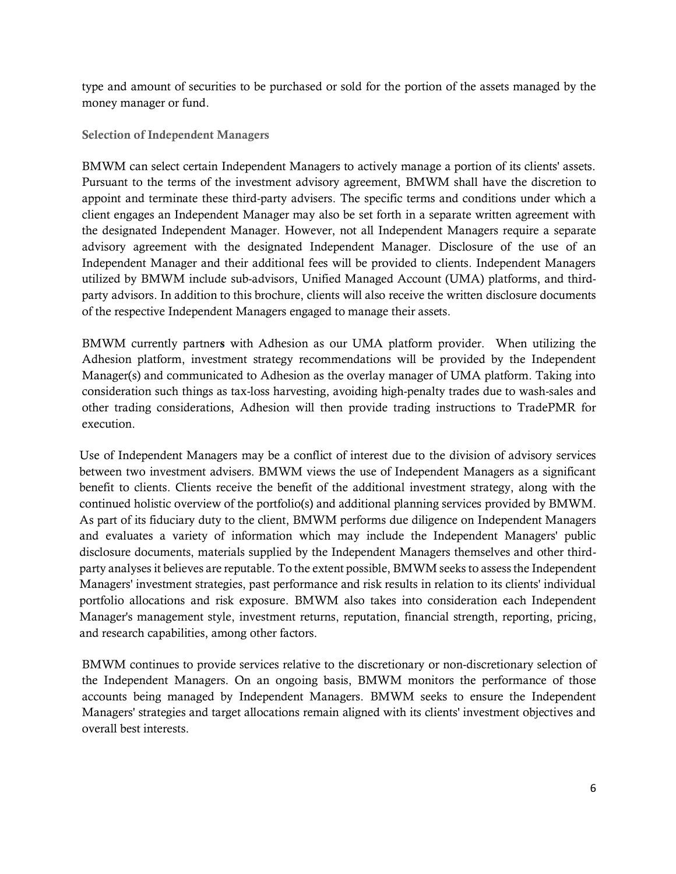type and amount of securities to be purchased or sold for the portion of the assets managed by the money manager or fund.

Selection of Independent Managers

BMWM can select certain Independent Managers to actively manage a portion of its clients' assets. Pursuant to the terms of the investment advisory agreement, BMWM shall have the discretion to appoint and terminate these third-party advisers. The specific terms and conditions under which a client engages an Independent Manager may also be set forth in a separate written agreement with the designated Independent Manager. However, not all Independent Managers require a separate advisory agreement with the designated Independent Manager. Disclosure of the use of an Independent Manager and their additional fees will be provided to clients. Independent Managers utilized by BMWM include sub-advisors, Unified Managed Account (UMA) platforms, and thirdparty advisors. In addition to this brochure, clients will also receive the written disclosure documents of the respective Independent Managers engaged to manage their assets.

BMWM currently partners with Adhesion as our UMA platform provider. When utilizing the Adhesion platform, investment strategy recommendations will be provided by the Independent Manager(s) and communicated to Adhesion as the overlay manager of UMA platform. Taking into consideration such things as tax-loss harvesting, avoiding high-penalty trades due to wash-sales and other trading considerations, Adhesion will then provide trading instructions to TradePMR for execution.

Use of Independent Managers may be a conflict of interest due to the division of advisory services between two investment advisers. BMWM views the use of Independent Managers as a significant benefit to clients. Clients receive the benefit of the additional investment strategy, along with the continued holistic overview of the portfolio(s) and additional planning services provided by BMWM. As part of its fiduciary duty to the client, BMWM performs due diligence on Independent Managers and evaluates a variety of information which may include the Independent Managers' public disclosure documents, materials supplied by the Independent Managers themselves and other thirdparty analyses it believes are reputable. To the extent possible, BMWM seeks to assess the Independent Managers' investment strategies, past performance and risk results in relation to its clients' individual portfolio allocations and risk exposure. BMWM also takes into consideration each Independent Manager's management style, investment returns, reputation, financial strength, reporting, pricing, and research capabilities, among other factors.

BMWM continues to provide services relative to the discretionary or non-discretionary selection of the Independent Managers. On an ongoing basis, BMWM monitors the performance of those accounts being managed by Independent Managers. BMWM seeks to ensure the Independent Managers' strategies and target allocations remain aligned with its clients' investment objectives and overall best interests.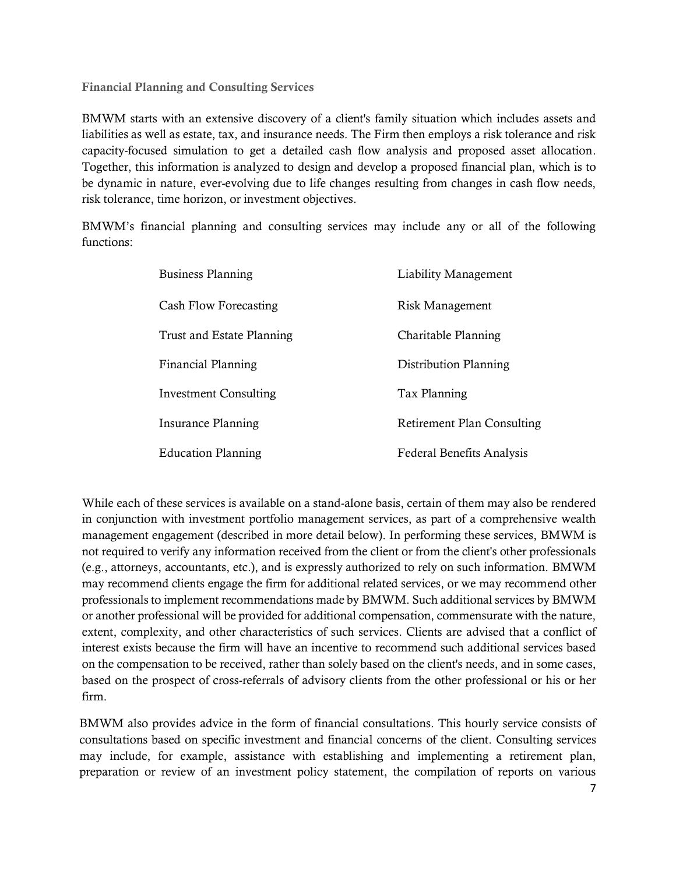Financial Planning and Consulting Services

BMWM starts with an extensive discovery of a client's family situation which includes assets and liabilities as well as estate, tax, and insurance needs. The Firm then employs a risk tolerance and risk capacity-focused simulation to get a detailed cash flow analysis and proposed asset allocation. Together, this information is analyzed to design and develop a proposed financial plan, which is to be dynamic in nature, ever-evolving due to life changes resulting from changes in cash flow needs, risk tolerance, time horizon, or investment objectives.

BMWM's financial planning and consulting services may include any or all of the following functions:

| <b>Business Planning</b>     | Liability Management              |
|------------------------------|-----------------------------------|
| Cash Flow Forecasting        | Risk Management                   |
| Trust and Estate Planning    | Charitable Planning               |
| <b>Financial Planning</b>    | Distribution Planning             |
| <b>Investment Consulting</b> | Tax Planning                      |
| Insurance Planning           | <b>Retirement Plan Consulting</b> |
| <b>Education Planning</b>    | <b>Federal Benefits Analysis</b>  |

While each of these services is available on a stand-alone basis, certain of them may also be rendered in conjunction with investment portfolio management services, as part of a comprehensive wealth management engagement (described in more detail below). In performing these services, BMWM is not required to verify any information received from the client or from the client's other professionals (e.g., attorneys, accountants, etc.), and is expressly authorized to rely on such information. BMWM may recommend clients engage the firm for additional related services, or we may recommend other professionals to implement recommendations made by BMWM. Such additional services by BMWM or another professional will be provided for additional compensation, commensurate with the nature, extent, complexity, and other characteristics of such services. Clients are advised that a conflict of interest exists because the firm will have an incentive to recommend such additional services based on the compensation to be received, rather than solely based on the client's needs, and in some cases, based on the prospect of cross-referrals of advisory clients from the other professional or his or her firm.

BMWM also provides advice in the form of financial consultations. This hourly service consists of consultations based on specific investment and financial concerns of the client. Consulting services may include, for example, assistance with establishing and implementing a retirement plan, preparation or review of an investment policy statement, the compilation of reports on various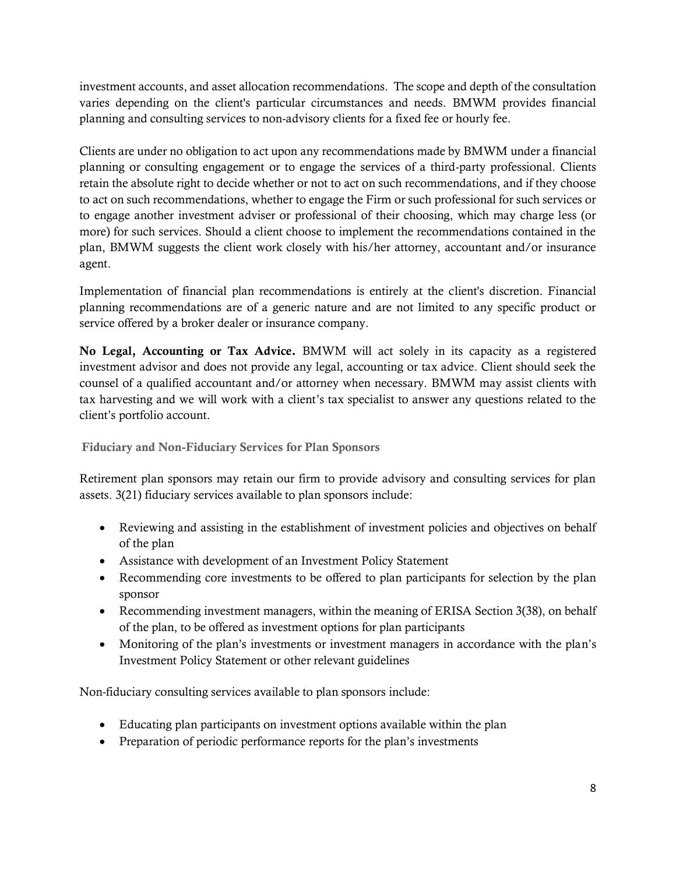investment accounts, and asset allocation recommendations. The scope and depth of the consultation varies depending on the client's particular circumstances and needs. BMWM provides financial planning and consulting services to non-advisory clients for a fixed fee or hourly fee.

Clients are under no obligation to act upon any recommendations made by BMWM under a financial planning or consulting engagement or to engage the services of a third-party professional. Clients retain the absolute right to decide whether or not to act on such recommendations, and if they choose to act on such recommendations, whether to engage the Firm or such professional for such services or to engage another investment adviser or professional of their choosing, which may charge less (or more) for such services. Should a client choose to implement the recommendations contained in the plan, BMWM suggests the client work closely with his/her attorney, accountant and/or insurance agent.

Implementation of financial plan recommendations is entirely at the client's discretion. Financial planning recommendations are of a generic nature and are not limited to any specific product or service offered by a broker dealer or insurance company.

No Legal, Accounting or Tax Advice. BMWM will act solely in its capacity as a registered investment advisor and does not provide any legal, accounting or tax advice. Client should seek the counsel of a qualified accountant and/or attorney when necessary. BMWM may assist clients with tax harvesting and we will work with a client's tax specialist to answer any questions related to the client's portfolio account.

Fiduciary and Non-Fiduciary Services for Plan Sponsors

Retirement plan sponsors may retain our firm to provide advisory and consulting services for plan assets. 3(21) fiduciary services available to plan sponsors include:

- Reviewing and assisting in the establishment of investment policies and objectives on behalf of the plan
- Assistance with development of an Investment Policy Statement
- Recommending core investments to be offered to plan participants for selection by the plan sponsor
- Recommending investment managers, within the meaning of ERISA Section 3(38), on behalf of the plan, to be offered as investment options for plan participants
- Monitoring of the plan's investments or investment managers in accordance with the plan's Investment Policy Statement or other relevant guidelines

Non-fiduciary consulting services available to plan sponsors include:

- Educating plan participants on investment options available within the plan
- Preparation of periodic performance reports for the plan's investments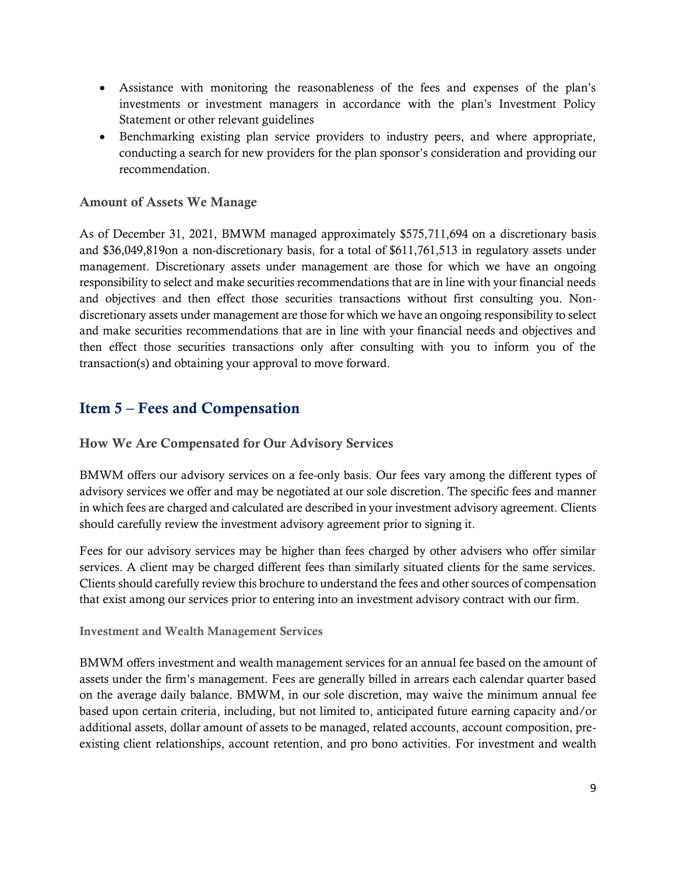- Assistance with monitoring the reasonableness of the fees and expenses of the plan's investments or investment managers in accordance with the plan's Investment Policy Statement or other relevant guidelines
- Benchmarking existing plan service providers to industry peers, and where appropriate, conducting a search for new providers for the plan sponsor's consideration and providing our recommendation.

#### Amount of Assets We Manage

As of December 31, 2021, BMWM managed approximately \$575,711,694 on a discretionary basis and \$36,049,819on a non-discretionary basis, for a total of \$611,761,513 in regulatory assets under management. Discretionary assets under management are those for which we have an ongoing responsibility to select and make securities recommendations that are in line with your financial needs and objectives and then effect those securities transactions without first consulting you. Nondiscretionary assets under management are those for which we have an ongoing responsibility to select and make securities recommendations that are in line with your financial needs and objectives and then effect those securities transactions only after consulting with you to inform you of the transaction(s) and obtaining your approval to move forward.

### <span id="page-8-0"></span>Item 5 – Fees and Compensation

How We Are Compensated for Our Advisory Services

BMWM offers our advisory services on a fee-only basis. Our fees vary among the different types of advisory services we offer and may be negotiated at our sole discretion. The specific fees and manner in which fees are charged and calculated are described in your investment advisory agreement. Clients should carefully review the investment advisory agreement prior to signing it.

Fees for our advisory services may be higher than fees charged by other advisers who offer similar services. A client may be charged different fees than similarly situated clients for the same services. Clients should carefully review this brochure to understand the fees and other sources of compensation that exist among our services prior to entering into an investment advisory contract with our firm.

Investment and Wealth Management Services

BMWM offers investment and wealth management services for an annual fee based on the amount of assets under the firm's management. Fees are generally billed in arrears each calendar quarter based on the average daily balance. BMWM, in our sole discretion, may waive the minimum annual fee based upon certain criteria, including, but not limited to, anticipated future earning capacity and/or additional assets, dollar amount of assets to be managed, related accounts, account composition, preexisting client relationships, account retention, and pro bono activities. For investment and wealth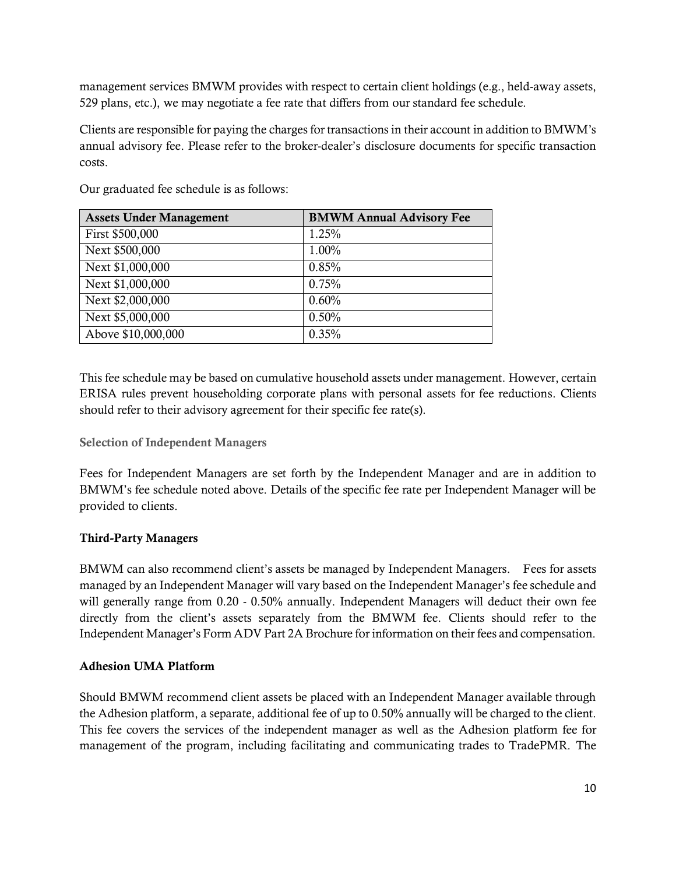management services BMWM provides with respect to certain client holdings (e.g., held-away assets, 529 plans, etc.), we may negotiate a fee rate that differs from our standard fee schedule.

Clients are responsible for paying the charges for transactions in their account in addition to BMWM's annual advisory fee. Please refer to the broker-dealer's disclosure documents for specific transaction costs.

| <b>Assets Under Management</b> | <b>BMWM Annual Advisory Fee</b> |
|--------------------------------|---------------------------------|
| First \$500,000                | 1.25%                           |
| Next \$500,000                 | 1.00%                           |
| Next \$1,000,000               | 0.85%                           |
| Next \$1,000,000               | 0.75%                           |
| Next \$2,000,000               | 0.60%                           |
| Next \$5,000,000               | 0.50%                           |
| Above \$10,000,000             | 0.35%                           |

Our graduated fee schedule is as follows:

This fee schedule may be based on cumulative household assets under management. However, certain ERISA rules prevent householding corporate plans with personal assets for fee reductions. Clients should refer to their advisory agreement for their specific fee rate(s).

Selection of Independent Managers

Fees for Independent Managers are set forth by the Independent Manager and are in addition to BMWM's fee schedule noted above. Details of the specific fee rate per Independent Manager will be provided to clients.

#### Third-Party Managers

BMWM can also recommend client's assets be managed by Independent Managers. Fees for assets managed by an Independent Manager will vary based on the Independent Manager's fee schedule and will generally range from 0.20 - 0.50% annually. Independent Managers will deduct their own fee directly from the client's assets separately from the BMWM fee. Clients should refer to the Independent Manager's Form ADV Part 2A Brochure for information on their fees and compensation.

#### Adhesion UMA Platform

Should BMWM recommend client assets be placed with an Independent Manager available through the Adhesion platform, a separate, additional fee of up to 0.50% annually will be charged to the client. This fee covers the services of the independent manager as well as the Adhesion platform fee for management of the program, including facilitating and communicating trades to TradePMR. The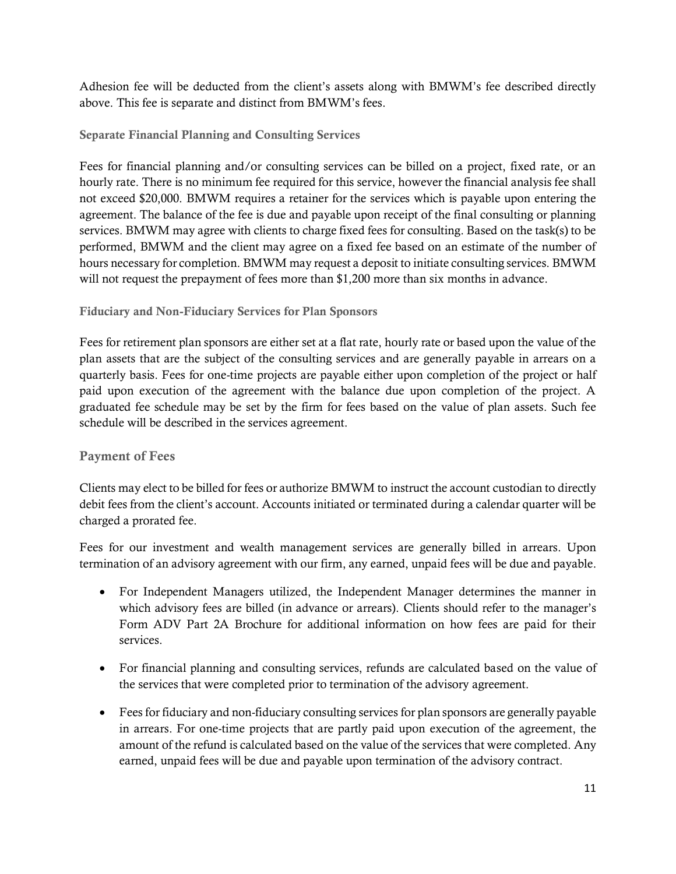Adhesion fee will be deducted from the client's assets along with BMWM's fee described directly above. This fee is separate and distinct from BMWM's fees.

#### Separate Financial Planning and Consulting Services

Fees for financial planning and/or consulting services can be billed on a project, fixed rate, or an hourly rate. There is no minimum fee required for this service, however the financial analysis fee shall not exceed \$20,000. BMWM requires a retainer for the services which is payable upon entering the agreement. The balance of the fee is due and payable upon receipt of the final consulting or planning services. BMWM may agree with clients to charge fixed fees for consulting. Based on the task(s) to be performed, BMWM and the client may agree on a fixed fee based on an estimate of the number of hours necessary for completion. BMWM may request a deposit to initiate consulting services. BMWM will not request the prepayment of fees more than \$1,200 more than six months in advance.

#### Fiduciary and Non-Fiduciary Services for Plan Sponsors

Fees for retirement plan sponsors are either set at a flat rate, hourly rate or based upon the value of the plan assets that are the subject of the consulting services and are generally payable in arrears on a quarterly basis. Fees for one-time projects are payable either upon completion of the project or half paid upon execution of the agreement with the balance due upon completion of the project. A graduated fee schedule may be set by the firm for fees based on the value of plan assets. Such fee schedule will be described in the services agreement.

#### Payment of Fees

Clients may elect to be billed for fees or authorize BMWM to instruct the account custodian to directly debit fees from the client's account. Accounts initiated or terminated during a calendar quarter will be charged a prorated fee.

Fees for our investment and wealth management services are generally billed in arrears. Upon termination of an advisory agreement with our firm, any earned, unpaid fees will be due and payable.

- For Independent Managers utilized, the Independent Manager determines the manner in which advisory fees are billed (in advance or arrears). Clients should refer to the manager's Form ADV Part 2A Brochure for additional information on how fees are paid for their services.
- For financial planning and consulting services, refunds are calculated based on the value of the services that were completed prior to termination of the advisory agreement.
- Fees for fiduciary and non-fiduciary consulting services for plan sponsors are generally payable in arrears. For one-time projects that are partly paid upon execution of the agreement, the amount of the refund is calculated based on the value of the services that were completed. Any earned, unpaid fees will be due and payable upon termination of the advisory contract.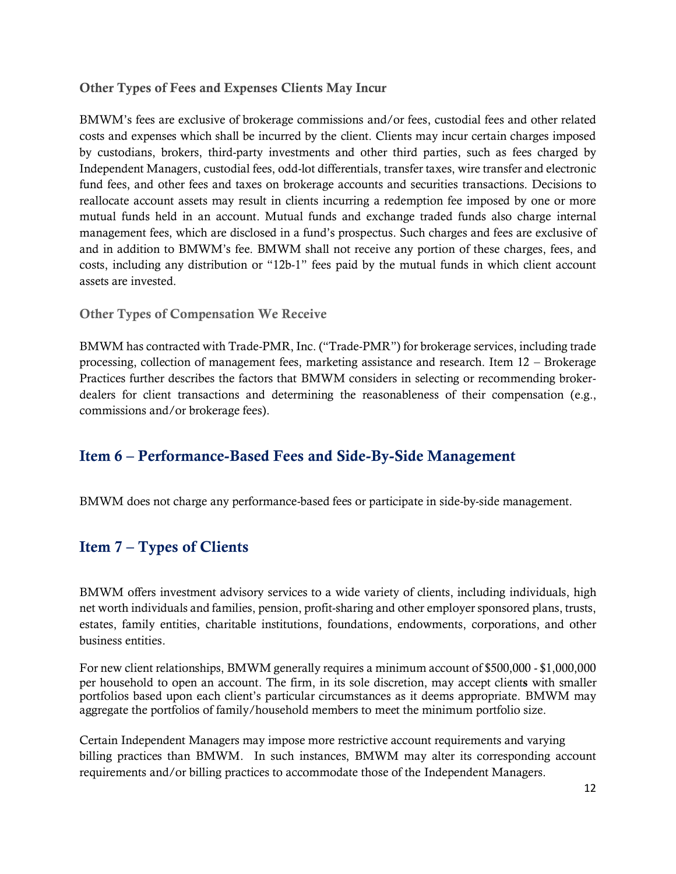#### Other Types of Fees and Expenses Clients May Incur

BMWM's fees are exclusive of brokerage commissions and/or fees, custodial fees and other related costs and expenses which shall be incurred by the client. Clients may incur certain charges imposed by custodians, brokers, third-party investments and other third parties, such as fees charged by Independent Managers, custodial fees, odd-lot differentials, transfer taxes, wire transfer and electronic fund fees, and other fees and taxes on brokerage accounts and securities transactions. Decisions to reallocate account assets may result in clients incurring a redemption fee imposed by one or more mutual funds held in an account. Mutual funds and exchange traded funds also charge internal management fees, which are disclosed in a fund's prospectus. Such charges and fees are exclusive of and in addition to BMWM's fee. BMWM shall not receive any portion of these charges, fees, and costs, including any distribution or "12b-1" fees paid by the mutual funds in which client account assets are invested.

#### Other Types of Compensation We Receive

BMWM has contracted with Trade-PMR, Inc. ("Trade-PMR") for brokerage services, including trade processing, collection of management fees, marketing assistance and research. Item 12 – Brokerage Practices further describes the factors that BMWM considers in selecting or recommending brokerdealers for client transactions and determining the reasonableness of their compensation (e.g., commissions and/or brokerage fees).

### <span id="page-11-0"></span>Item 6 – Performance-Based Fees and Side-By-Side Management

<span id="page-11-1"></span>BMWM does not charge any performance-based fees or participate in side-by-side management.

### Item 7 – Types of Clients

BMWM offers investment advisory services to a wide variety of clients, including individuals, high net worth individuals and families, pension, profit-sharing and other employer sponsored plans, trusts, estates, family entities, charitable institutions, foundations, endowments, corporations, and other business entities.

For new client relationships, BMWM generally requires a minimum account of \$500,000 - \$1,000,000 per household to open an account. The firm, in its sole discretion, may accept clients with smaller portfolios based upon each client's particular circumstances as it deems appropriate. BMWM may aggregate the portfolios of family/household members to meet the minimum portfolio size.

Certain Independent Managers may impose more restrictive account requirements and varying billing practices than BMWM. In such instances, BMWM may alter its corresponding account requirements and/or billing practices to accommodate those of the Independent Managers.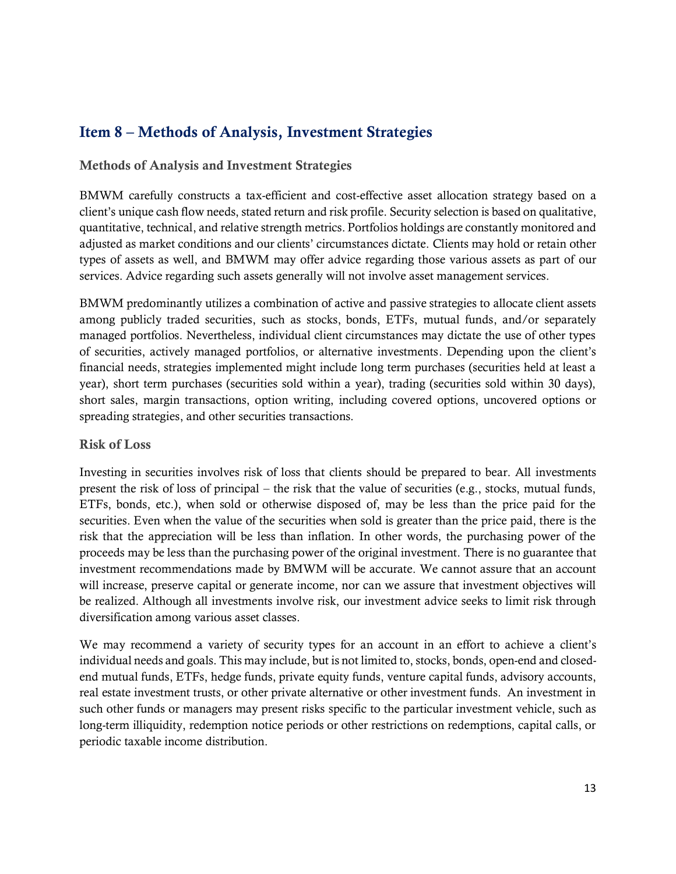### <span id="page-12-0"></span>Item 8 – Methods of Analysis, Investment Strategies

#### Methods of Analysis and Investment Strategies

BMWM carefully constructs a tax-efficient and cost-effective asset allocation strategy based on a client's unique cash flow needs, stated return and risk profile. Security selection is based on qualitative, quantitative, technical, and relative strength metrics. Portfolios holdings are constantly monitored and adjusted as market conditions and our clients' circumstances dictate. Clients may hold or retain other types of assets as well, and BMWM may offer advice regarding those various assets as part of our services. Advice regarding such assets generally will not involve asset management services.

BMWM predominantly utilizes a combination of active and passive strategies to allocate client assets among publicly traded securities, such as stocks, bonds, ETFs, mutual funds, and/or separately managed portfolios. Nevertheless, individual client circumstances may dictate the use of other types of securities, actively managed portfolios, or alternative investments. Depending upon the client's financial needs, strategies implemented might include long term purchases (securities held at least a year), short term purchases (securities sold within a year), trading (securities sold within 30 days), short sales, margin transactions, option writing, including covered options, uncovered options or spreading strategies, and other securities transactions.

#### Risk of Loss

Investing in securities involves risk of loss that clients should be prepared to bear. All investments present the risk of loss of principal – the risk that the value of securities (e.g., stocks, mutual funds, ETFs, bonds, etc.), when sold or otherwise disposed of, may be less than the price paid for the securities. Even when the value of the securities when sold is greater than the price paid, there is the risk that the appreciation will be less than inflation. In other words, the purchasing power of the proceeds may be less than the purchasing power of the original investment. There is no guarantee that investment recommendations made by BMWM will be accurate. We cannot assure that an account will increase, preserve capital or generate income, nor can we assure that investment objectives will be realized. Although all investments involve risk, our investment advice seeks to limit risk through diversification among various asset classes.

We may recommend a variety of security types for an account in an effort to achieve a client's individual needs and goals. This may include, but is not limited to, stocks, bonds, open-end and closedend mutual funds, ETFs, hedge funds, private equity funds, venture capital funds, advisory accounts, real estate investment trusts, or other private alternative or other investment funds. An investment in such other funds or managers may present risks specific to the particular investment vehicle, such as long-term illiquidity, redemption notice periods or other restrictions on redemptions, capital calls, or periodic taxable income distribution.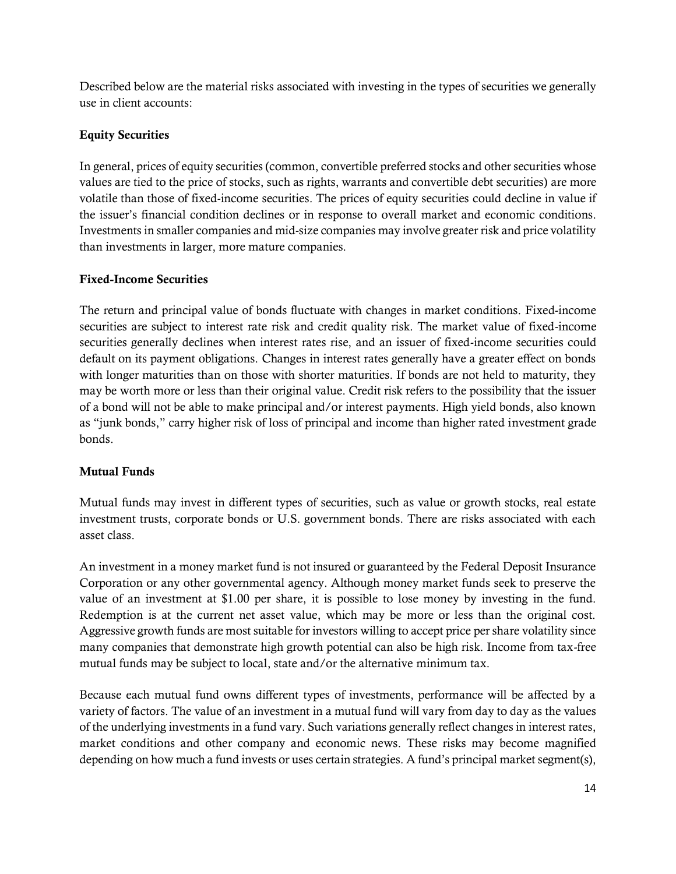Described below are the material risks associated with investing in the types of securities we generally use in client accounts:

#### Equity Securities

In general, prices of equity securities (common, convertible preferred stocks and other securities whose values are tied to the price of stocks, such as rights, warrants and convertible debt securities) are more volatile than those of fixed-income securities. The prices of equity securities could decline in value if the issuer's financial condition declines or in response to overall market and economic conditions. Investments in smaller companies and mid-size companies may involve greater risk and price volatility than investments in larger, more mature companies.

#### Fixed-Income Securities

The return and principal value of bonds fluctuate with changes in market conditions. Fixed-income securities are subject to interest rate risk and credit quality risk. The market value of fixed-income securities generally declines when interest rates rise, and an issuer of fixed-income securities could default on its payment obligations. Changes in interest rates generally have a greater effect on bonds with longer maturities than on those with shorter maturities. If bonds are not held to maturity, they may be worth more or less than their original value. Credit risk refers to the possibility that the issuer of a bond will not be able to make principal and/or interest payments. High yield bonds, also known as "junk bonds," carry higher risk of loss of principal and income than higher rated investment grade bonds.

#### Mutual Funds

Mutual funds may invest in different types of securities, such as value or growth stocks, real estate investment trusts, corporate bonds or U.S. government bonds. There are risks associated with each asset class.

An investment in a money market fund is not insured or guaranteed by the Federal Deposit Insurance Corporation or any other governmental agency. Although money market funds seek to preserve the value of an investment at \$1.00 per share, it is possible to lose money by investing in the fund. Redemption is at the current net asset value, which may be more or less than the original cost. Aggressive growth funds are most suitable for investors willing to accept price per share volatility since many companies that demonstrate high growth potential can also be high risk. Income from tax-free mutual funds may be subject to local, state and/or the alternative minimum tax.

Because each mutual fund owns different types of investments, performance will be affected by a variety of factors. The value of an investment in a mutual fund will vary from day to day as the values of the underlying investments in a fund vary. Such variations generally reflect changes in interest rates, market conditions and other company and economic news. These risks may become magnified depending on how much a fund invests or uses certain strategies. A fund's principal market segment(s),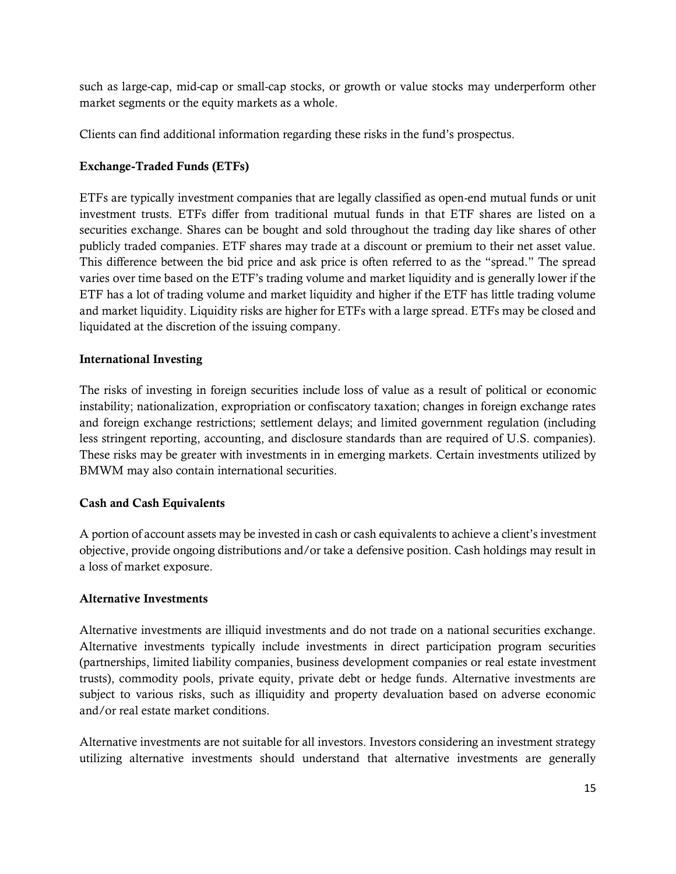such as large-cap, mid-cap or small-cap stocks, or growth or value stocks may underperform other market segments or the equity markets as a whole.

Clients can find additional information regarding these risks in the fund's prospectus.

#### Exchange-Traded Funds (ETFs)

ETFs are typically investment companies that are legally classified as open-end mutual funds or unit investment trusts. ETFs differ from traditional mutual funds in that ETF shares are listed on a securities exchange. Shares can be bought and sold throughout the trading day like shares of other publicly traded companies. ETF shares may trade at a discount or premium to their net asset value. This difference between the bid price and ask price is often referred to as the "spread." The spread varies over time based on the ETF's trading volume and market liquidity and is generally lower if the ETF has a lot of trading volume and market liquidity and higher if the ETF has little trading volume and market liquidity. Liquidity risks are higher for ETFs with a large spread. ETFs may be closed and liquidated at the discretion of the issuing company.

#### International Investing

The risks of investing in foreign securities include loss of value as a result of political or economic instability; nationalization, expropriation or confiscatory taxation; changes in foreign exchange rates and foreign exchange restrictions; settlement delays; and limited government regulation (including less stringent reporting, accounting, and disclosure standards than are required of U.S. companies). These risks may be greater with investments in in emerging markets. Certain investments utilized by BMWM may also contain international securities.

#### Cash and Cash Equivalents

A portion of account assets may be invested in cash or cash equivalents to achieve a client's investment objective, provide ongoing distributions and/or take a defensive position. Cash holdings may result in a loss of market exposure.

#### Alternative Investments

Alternative investments are illiquid investments and do not trade on a national securities exchange. Alternative investments typically include investments in direct participation program securities (partnerships, limited liability companies, business development companies or real estate investment trusts), commodity pools, private equity, private debt or hedge funds. Alternative investments are subject to various risks, such as illiquidity and property devaluation based on adverse economic and/or real estate market conditions.

Alternative investments are not suitable for all investors. Investors considering an investment strategy utilizing alternative investments should understand that alternative investments are generally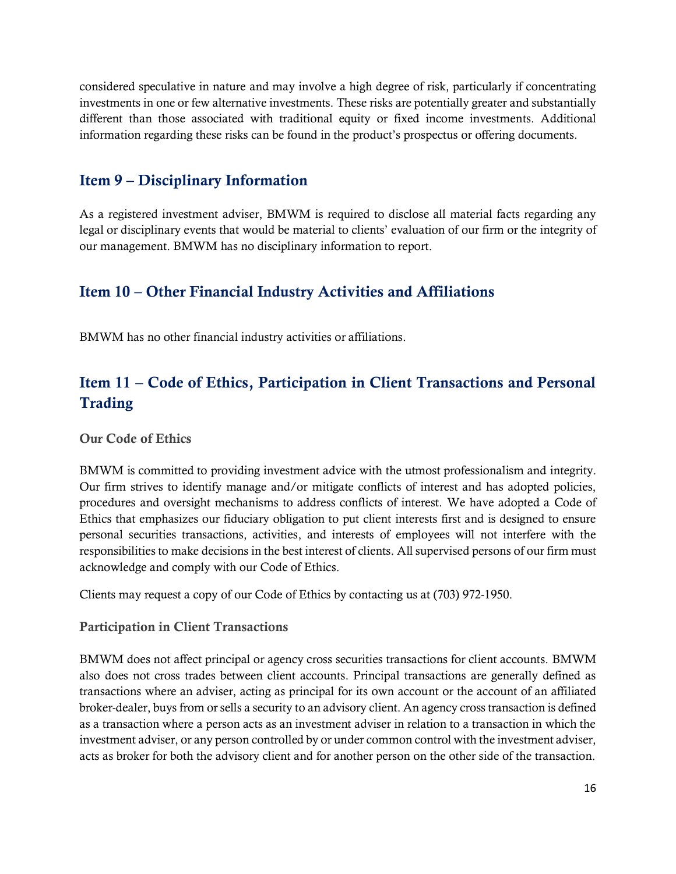considered speculative in nature and may involve a high degree of risk, particularly if concentrating investments in one or few alternative investments. These risks are potentially greater and substantially different than those associated with traditional equity or fixed income investments. Additional information regarding these risks can be found in the product's prospectus or offering documents.

### <span id="page-15-0"></span>Item 9 – Disciplinary Information

As a registered investment adviser, BMWM is required to disclose all material facts regarding any legal or disciplinary events that would be material to clients' evaluation of our firm or the integrity of our management. BMWM has no disciplinary information to report.

### <span id="page-15-1"></span>Item 10 – Other Financial Industry Activities and Affiliations

BMWM has no other financial industry activities or affiliations.

### <span id="page-15-2"></span>Item 11 – Code of Ethics, Participation in Client Transactions and Personal Trading

Our Code of Ethics

BMWM is committed to providing investment advice with the utmost professionalism and integrity. Our firm strives to identify manage and/or mitigate conflicts of interest and has adopted policies, procedures and oversight mechanisms to address conflicts of interest. We have adopted a Code of Ethics that emphasizes our fiduciary obligation to put client interests first and is designed to ensure personal securities transactions, activities, and interests of employees will not interfere with the responsibilities to make decisions in the best interest of clients. All supervised persons of our firm must acknowledge and comply with our Code of Ethics.

Clients may request a copy of our Code of Ethics by contacting us at (703) 972-1950.

#### Participation in Client Transactions

BMWM does not affect principal or agency cross securities transactions for client accounts. BMWM also does not cross trades between client accounts. Principal transactions are generally defined as transactions where an adviser, acting as principal for its own account or the account of an affiliated broker-dealer, buys from or sells a security to an advisory client. An agency cross transaction is defined as a transaction where a person acts as an investment adviser in relation to a transaction in which the investment adviser, or any person controlled by or under common control with the investment adviser, acts as broker for both the advisory client and for another person on the other side of the transaction.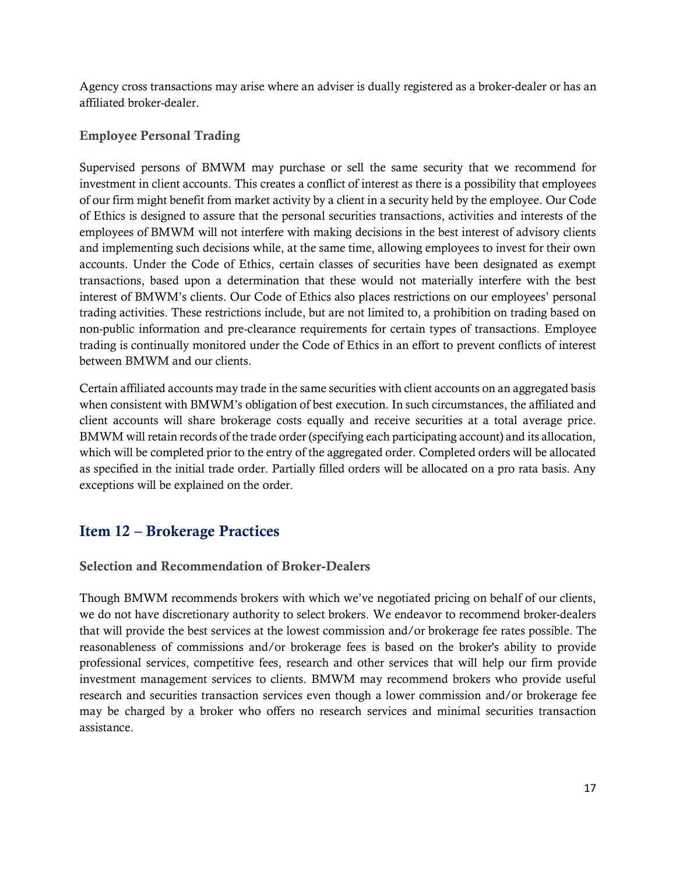Agency cross transactions may arise where an adviser is dually registered as a broker-dealer or has an affiliated broker-dealer.

#### Employee Personal Trading

Supervised persons of BMWM may purchase or sell the same security that we recommend for investment in client accounts. This creates a conflict of interest as there is a possibility that employees of our firm might benefit from market activity by a client in a security held by the employee. Our Code of Ethics is designed to assure that the personal securities transactions, activities and interests of the employees of BMWM will not interfere with making decisions in the best interest of advisory clients and implementing such decisions while, at the same time, allowing employees to invest for their own accounts. Under the Code of Ethics, certain classes of securities have been designated as exempt transactions, based upon a determination that these would not materially interfere with the best interest of BMWM's clients. Our Code of Ethics also places restrictions on our employees' personal trading activities. These restrictions include, but are not limited to, a prohibition on trading based on non-public information and pre-clearance requirements for certain types of transactions. Employee trading is continually monitored under the Code of Ethics in an effort to prevent conflicts of interest between BMWM and our clients.

Certain affiliated accounts may trade in the same securities with client accounts on an aggregated basis when consistent with BMWM's obligation of best execution. In such circumstances, the affiliated and client accounts will share brokerage costs equally and receive securities at a total average price. BMWM will retain records of the trade order (specifying each participating account) and its allocation, which will be completed prior to the entry of the aggregated order. Completed orders will be allocated as specified in the initial trade order. Partially filled orders will be allocated on a pro rata basis. Any exceptions will be explained on the order.

### <span id="page-16-0"></span>Item 12 – Brokerage Practices

#### Selection and Recommendation of Broker-Dealers

Though BMWM recommends brokers with which we've negotiated pricing on behalf of our clients, we do not have discretionary authority to select brokers. We endeavor to recommend broker-dealers that will provide the best services at the lowest commission and/or brokerage fee rates possible. The reasonableness of commissions and/or brokerage fees is based on the broker's ability to provide professional services, competitive fees, research and other services that will help our firm provide investment management services to clients. BMWM may recommend brokers who provide useful research and securities transaction services even though a lower commission and/or brokerage fee may be charged by a broker who offers no research services and minimal securities transaction assistance.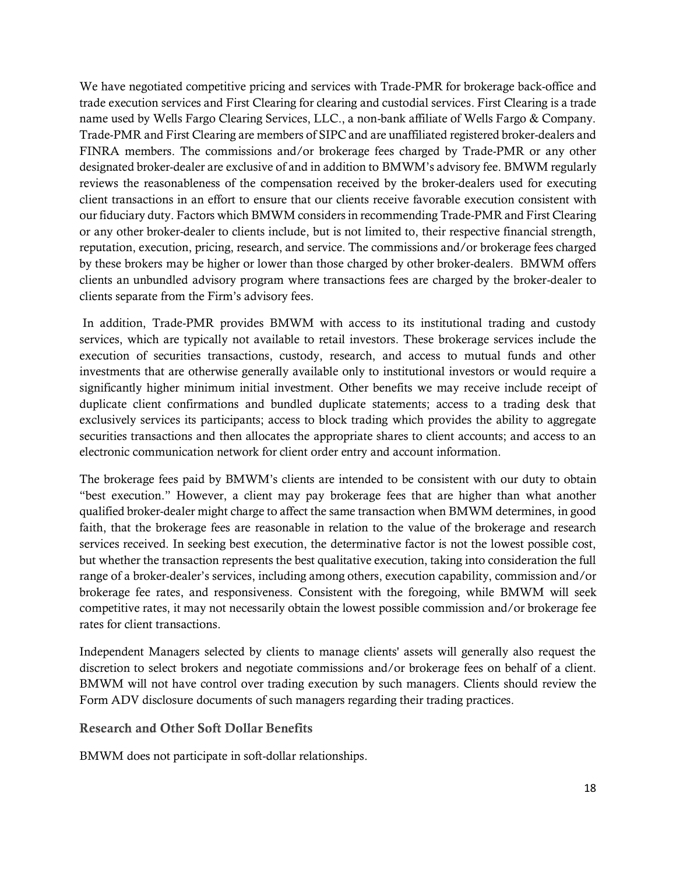We have negotiated competitive pricing and services with Trade-PMR for brokerage back-office and trade execution services and First Clearing for clearing and custodial services. First Clearing is a trade name used by Wells Fargo Clearing Services, LLC., a non-bank affiliate of Wells Fargo & Company. Trade-PMR and First Clearing are members of SIPC and are unaffiliated registered broker-dealers and FINRA members. The commissions and/or brokerage fees charged by Trade-PMR or any other designated broker-dealer are exclusive of and in addition to BMWM's advisory fee. BMWM regularly reviews the reasonableness of the compensation received by the broker-dealers used for executing client transactions in an effort to ensure that our clients receive favorable execution consistent with our fiduciary duty. Factors which BMWM considers in recommending Trade-PMR and First Clearing or any other broker-dealer to clients include, but is not limited to, their respective financial strength, reputation, execution, pricing, research, and service. The commissions and/or brokerage fees charged by these brokers may be higher or lower than those charged by other broker-dealers. BMWM offers clients an unbundled advisory program where transactions fees are charged by the broker-dealer to clients separate from the Firm's advisory fees.

In addition, Trade-PMR provides BMWM with access to its institutional trading and custody services, which are typically not available to retail investors. These brokerage services include the execution of securities transactions, custody, research, and access to mutual funds and other investments that are otherwise generally available only to institutional investors or would require a significantly higher minimum initial investment. Other benefits we may receive include receipt of duplicate client confirmations and bundled duplicate statements; access to a trading desk that exclusively services its participants; access to block trading which provides the ability to aggregate securities transactions and then allocates the appropriate shares to client accounts; and access to an electronic communication network for client order entry and account information.

The brokerage fees paid by BMWM's clients are intended to be consistent with our duty to obtain "best execution." However, a client may pay brokerage fees that are higher than what another qualified broker-dealer might charge to affect the same transaction when BMWM determines, in good faith, that the brokerage fees are reasonable in relation to the value of the brokerage and research services received. In seeking best execution, the determinative factor is not the lowest possible cost, but whether the transaction represents the best qualitative execution, taking into consideration the full range of a broker-dealer's services, including among others, execution capability, commission and/or brokerage fee rates, and responsiveness. Consistent with the foregoing, while BMWM will seek competitive rates, it may not necessarily obtain the lowest possible commission and/or brokerage fee rates for client transactions.

Independent Managers selected by clients to manage clients' assets will generally also request the discretion to select brokers and negotiate commissions and/or brokerage fees on behalf of a client. BMWM will not have control over trading execution by such managers. Clients should review the Form ADV disclosure documents of such managers regarding their trading practices.

#### Research and Other Soft Dollar Benefits

BMWM does not participate in soft-dollar relationships.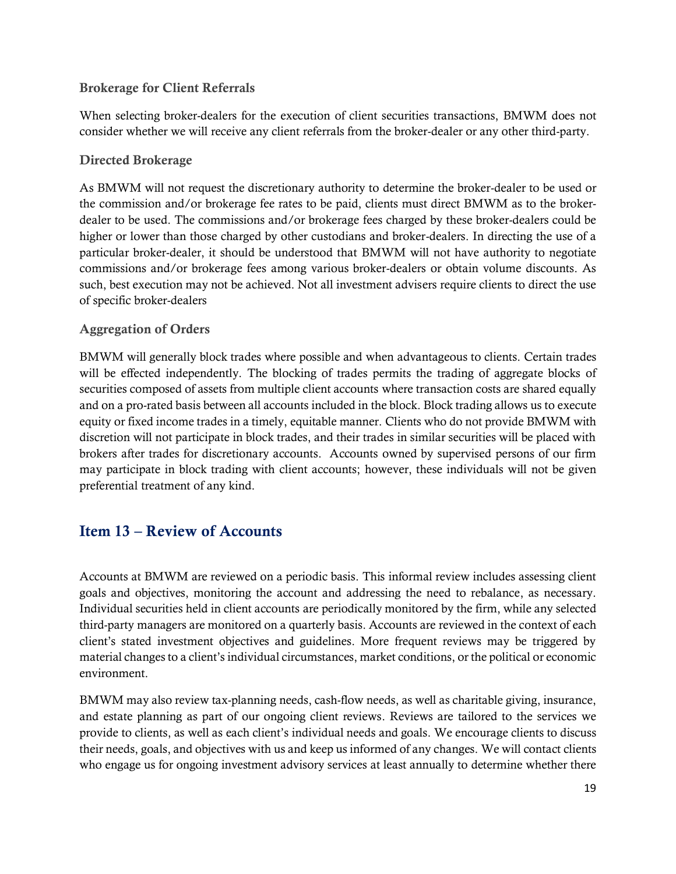#### Brokerage for Client Referrals

When selecting broker-dealers for the execution of client securities transactions, BMWM does not consider whether we will receive any client referrals from the broker-dealer or any other third-party.

#### Directed Brokerage

As BMWM will not request the discretionary authority to determine the broker-dealer to be used or the commission and/or brokerage fee rates to be paid, clients must direct BMWM as to the brokerdealer to be used. The commissions and/or brokerage fees charged by these broker-dealers could be higher or lower than those charged by other custodians and broker-dealers. In directing the use of a particular broker-dealer, it should be understood that BMWM will not have authority to negotiate commissions and/or brokerage fees among various broker-dealers or obtain volume discounts. As such, best execution may not be achieved. Not all investment advisers require clients to direct the use of specific broker-dealers

#### Aggregation of Orders

BMWM will generally block trades where possible and when advantageous to clients. Certain trades will be effected independently. The blocking of trades permits the trading of aggregate blocks of securities composed of assets from multiple client accounts where transaction costs are shared equally and on a pro-rated basis between all accounts included in the block. Block trading allows us to execute equity or fixed income trades in a timely, equitable manner. Clients who do not provide BMWM with discretion will not participate in block trades, and their trades in similar securities will be placed with brokers after trades for discretionary accounts. Accounts owned by supervised persons of our firm may participate in block trading with client accounts; however, these individuals will not be given preferential treatment of any kind.

### <span id="page-18-0"></span>Item 13 – Review of Accounts

Accounts at BMWM are reviewed on a periodic basis. This informal review includes assessing client goals and objectives, monitoring the account and addressing the need to rebalance, as necessary. Individual securities held in client accounts are periodically monitored by the firm, while any selected third-party managers are monitored on a quarterly basis. Accounts are reviewed in the context of each client's stated investment objectives and guidelines. More frequent reviews may be triggered by material changes to a client's individual circumstances, market conditions, or the political or economic environment.

BMWM may also review tax-planning needs, cash-flow needs, as well as charitable giving, insurance, and estate planning as part of our ongoing client reviews. Reviews are tailored to the services we provide to clients, as well as each client's individual needs and goals. We encourage clients to discuss their needs, goals, and objectives with us and keep us informed of any changes. We will contact clients who engage us for ongoing investment advisory services at least annually to determine whether there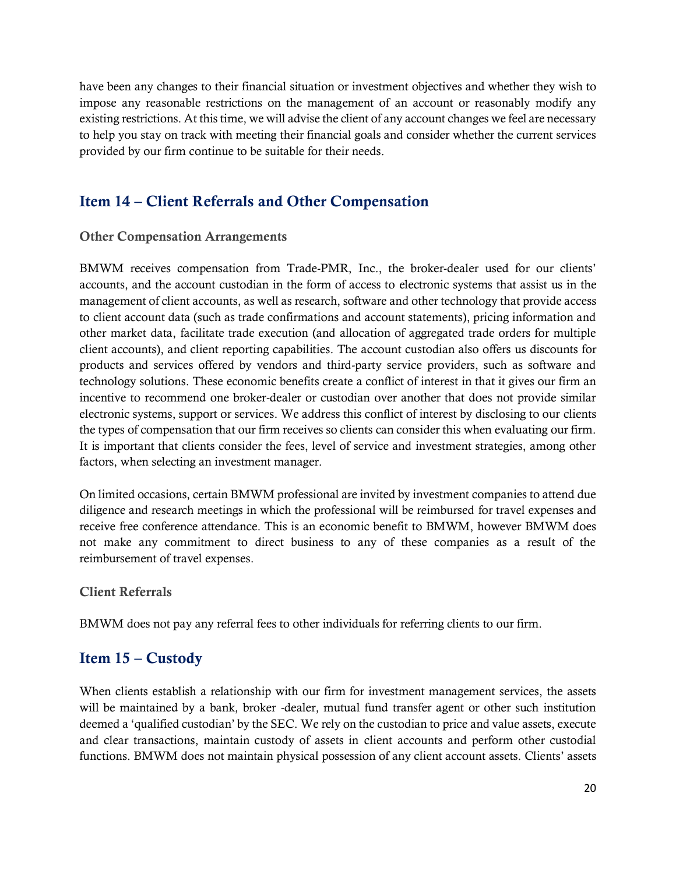have been any changes to their financial situation or investment objectives and whether they wish to impose any reasonable restrictions on the management of an account or reasonably modify any existing restrictions. At this time, we will advise the client of any account changes we feel are necessary to help you stay on track with meeting their financial goals and consider whether the current services provided by our firm continue to be suitable for their needs.

### <span id="page-19-0"></span>Item 14 – Client Referrals and Other Compensation

#### Other Compensation Arrangements

BMWM receives compensation from Trade-PMR, Inc., the broker-dealer used for our clients' accounts, and the account custodian in the form of access to electronic systems that assist us in the management of client accounts, as well as research, software and other technology that provide access to client account data (such as trade confirmations and account statements), pricing information and other market data, facilitate trade execution (and allocation of aggregated trade orders for multiple client accounts), and client reporting capabilities. The account custodian also offers us discounts for products and services offered by vendors and third-party service providers, such as software and technology solutions. These economic benefits create a conflict of interest in that it gives our firm an incentive to recommend one broker-dealer or custodian over another that does not provide similar electronic systems, support or services. We address this conflict of interest by disclosing to our clients the types of compensation that our firm receives so clients can consider this when evaluating our firm. It is important that clients consider the fees, level of service and investment strategies, among other factors, when selecting an investment manager.

On limited occasions, certain BMWM professional are invited by investment companies to attend due diligence and research meetings in which the professional will be reimbursed for travel expenses and receive free conference attendance. This is an economic benefit to BMWM, however BMWM does not make any commitment to direct business to any of these companies as a result of the reimbursement of travel expenses.

#### Client Referrals

BMWM does not pay any referral fees to other individuals for referring clients to our firm.

### <span id="page-19-1"></span>Item 15 – Custody

When clients establish a relationship with our firm for investment management services, the assets will be maintained by a bank, broker -dealer, mutual fund transfer agent or other such institution deemed a 'qualified custodian' by the SEC. We rely on the custodian to price and value assets, execute and clear transactions, maintain custody of assets in client accounts and perform other custodial functions. BMWM does not maintain physical possession of any client account assets. Clients' assets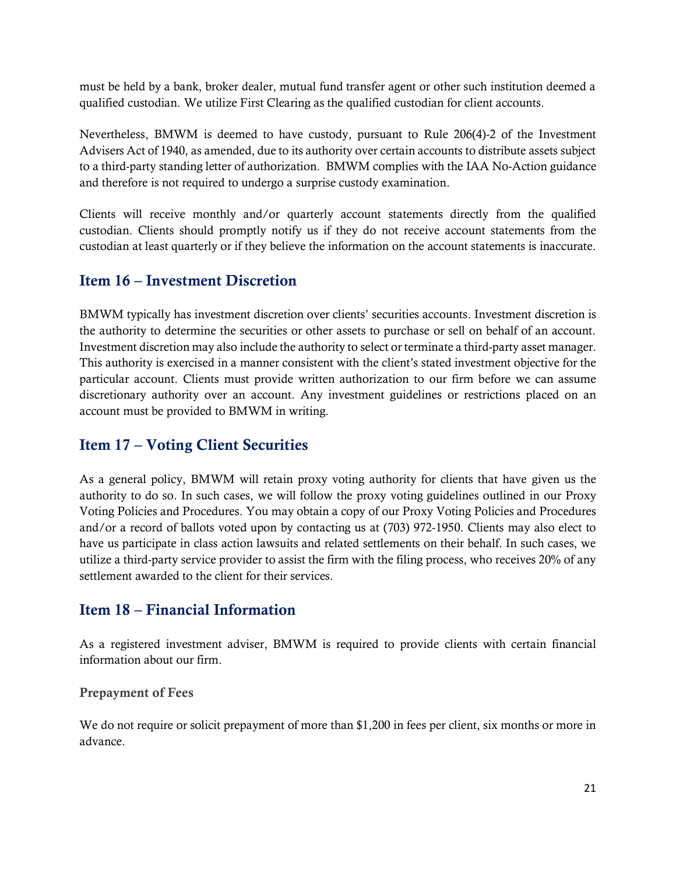must be held by a bank, broker dealer, mutual fund transfer agent or other such institution deemed a qualified custodian. We utilize First Clearing as the qualified custodian for client accounts.

Nevertheless, BMWM is deemed to have custody, pursuant to Rule 206(4)-2 of the Investment Advisers Act of 1940, as amended, due to its authority over certain accounts to distribute assets subject to a third-party standing letter of authorization. BMWM complies with the IAA No-Action guidance and therefore is not required to undergo a surprise custody examination.

Clients will receive monthly and/or quarterly account statements directly from the qualified custodian. Clients should promptly notify us if they do not receive account statements from the custodian at least quarterly or if they believe the information on the account statements is inaccurate.

### <span id="page-20-0"></span>Item 16 – Investment Discretion

BMWM typically has investment discretion over clients' securities accounts. Investment discretion is the authority to determine the securities or other assets to purchase or sell on behalf of an account. Investment discretion may also include the authority to select or terminate a third-party asset manager. This authority is exercised in a manner consistent with the client's stated investment objective for the particular account. Clients must provide written authorization to our firm before we can assume discretionary authority over an account. Any investment guidelines or restrictions placed on an account must be provided to BMWM in writing.

### <span id="page-20-1"></span>Item 17 – Voting Client Securities

As a general policy, BMWM will retain proxy voting authority for clients that have given us the authority to do so. In such cases, we will follow the proxy voting guidelines outlined in our Proxy Voting Policies and Procedures. You may obtain a copy of our Proxy Voting Policies and Procedures and/or a record of ballots voted upon by contacting us at (703) 972-1950. Clients may also elect to have us participate in class action lawsuits and related settlements on their behalf. In such cases, we utilize a third-party service provider to assist the firm with the filing process, who receives 20% of any settlement awarded to the client for their services.

### <span id="page-20-2"></span>Item 18 – Financial Information

As a registered investment adviser, BMWM is required to provide clients with certain financial information about our firm.

#### Prepayment of Fees

We do not require or solicit prepayment of more than \$1,200 in fees per client, six months or more in advance.